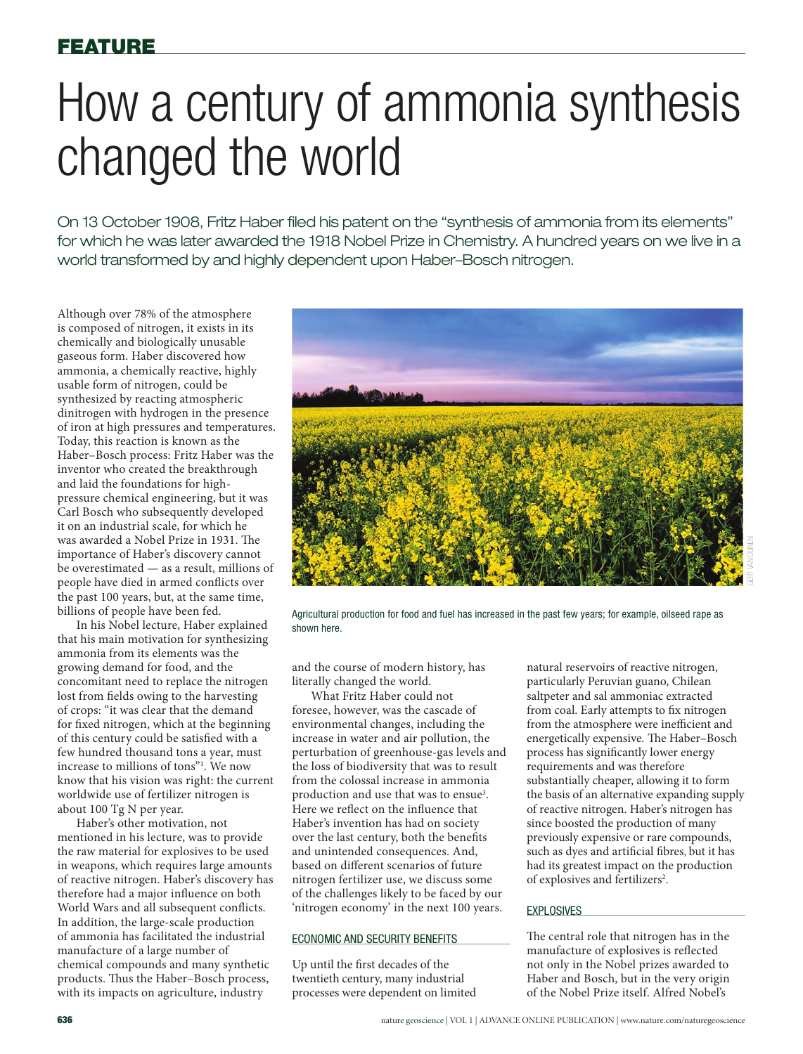# How a century of ammonia synthesis changed the world

On 13 October 1908, Fritz Haber filed his patent on the "synthesis of ammonia from its elements" for which he was later awarded the 1918 Nobel Prize in Chemistry. A hundred years on we live in a world transformed by and highly dependent upon Haber–Bosch nitrogen.

Although over 78% of the atmosphere is composed of nitrogen, it exists in its chemically and biologically unusable gaseous form. Haber discovered how ammonia, a chemically reactive, highly usable form of nitrogen, could be synthesized by reacting atmospheric dinitrogen with hydrogen in the presence of iron at high pressures and temperatures. Today, this reaction is known as the Haber–Bosch process: Fritz Haber was the inventor who created the breakthrough and laid the foundations for highpressure chemical engineering, but it was Carl Bosch who subsequently developed it on an industrial scale, for which he was awarded a Nobel Prize in 1931. The importance of Haber's discovery cannot be overestimated — as a result, millions of people have died in armed conflicts over the past 100 years, but, at the same time, billions of people have been fed.

In his Nobel lecture, Haber explained that his main motivation for synthesizing ammonia from its elements was the growing demand for food, and the concomitant need to replace the nitrogen lost from fields owing to the harvesting of crops: "it was clear that the demand for fixed nitrogen, which at the beginning of this century could be satisfied with a few hundred thousand tons a year, must increase to millions of tons"1 . We now know that his vision was right: the current worldwide use of fertilizer nitrogen is about 100 Tg N per year.

Haber's other motivation, not mentioned in his lecture, was to provide the raw material for explosives to be used in weapons, which requires large amounts of reactive nitrogen. Haber's discovery has therefore had a major influence on both World Wars and all subsequent conflicts. In addition, the large-scale production of ammonia has facilitated the industrial manufacture of a large number of chemical compounds and many synthetic products. Thus the Haber–Bosch process, with its impacts on agriculture, industry



Agricultural production for food and fuel has increased in the past few years; for example, oilseed rape as shown here.

and the course of modern history, has literally changed the world.

What Fritz Haber could not foresee, however, was the cascade of environmental changes, including the increase in water and air pollution, the perturbation of greenhouse-gas levels and the loss of biodiversity that was to result from the colossal increase in ammonia production and use that was to ensue<sup>3</sup>. Here we reflect on the influence that Haber's invention has had on society over the last century, both the benefits and unintended consequences. And, based on different scenarios of future nitrogen fertilizer use, we discuss some of the challenges likely to be faced by our 'nitrogen economy' in the next 100 years.

# Economic and security benefits

Up until the first decades of the twentieth century, many industrial processes were dependent on limited natural reservoirs of reactive nitrogen, particularly Peruvian guano, Chilean saltpeter and sal ammoniac extracted from coal. Early attempts to fix nitrogen from the atmosphere were inefficient and energetically expensive*.* The Haber–Bosch process has significantly lower energy requirements and was therefore substantially cheaper, allowing it to form the basis of an alternative expanding supply of reactive nitrogen. Haber's nitrogen has since boosted the production of many previously expensive or rare compounds, such as dyes and artificial fibres, but it has had its greatest impact on the production of explosives and fertilizers<sup>2</sup>.

## **EXPLOSIVES**

The central role that nitrogen has in the manufacture of explosives is reflected not only in the Nobel prizes awarded to Haber and Bosch, but in the very origin of the Nobel Prize itself. Alfred Nobel's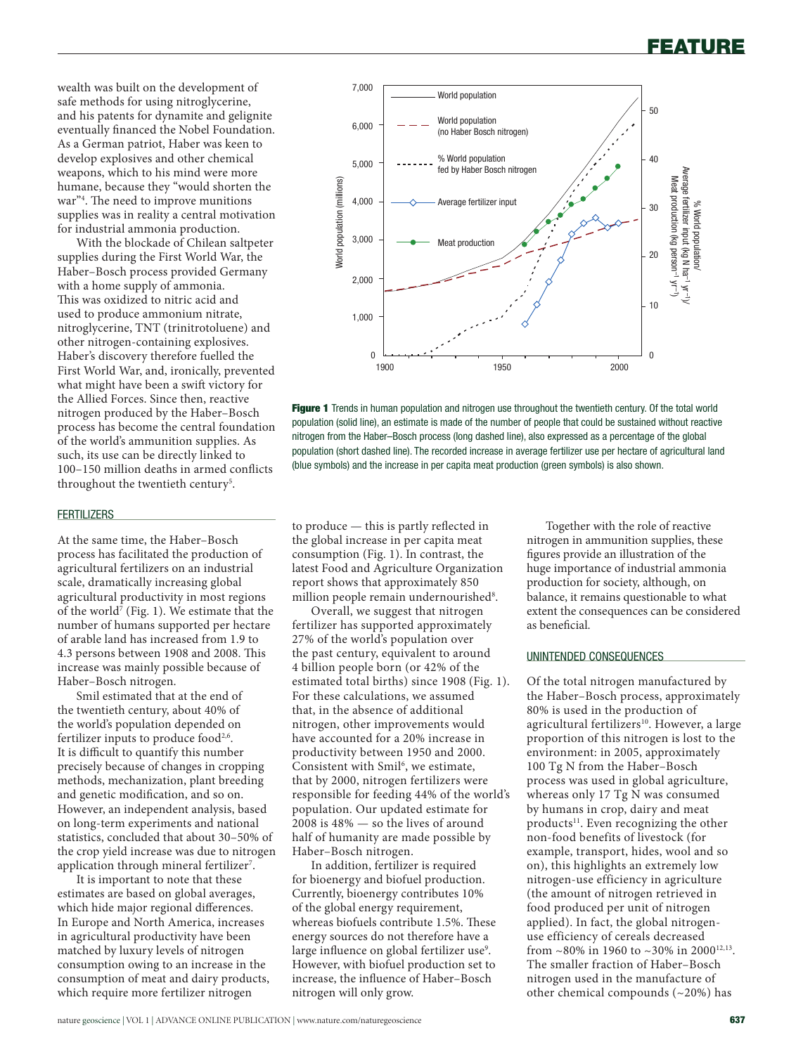wealth was built on the development of safe methods for using nitroglycerine, and his patents for dynamite and gelignite eventually financed the Nobel Foundation. As a German patriot, Haber was keen to develop explosives and other chemical weapons, which to his mind were more humane, because they "would shorten the war"4 . The need to improve munitions supplies was in reality a central motivation for industrial ammonia production.

With the blockade of Chilean saltpeter supplies during the First World War, the Haber–Bosch process provided Germany with a home supply of ammonia. This was oxidized to nitric acid and used to produce ammonium nitrate, nitroglycerine, TNT (trinitrotoluene) and other nitrogen-containing explosives. Haber's discovery therefore fuelled the First World War, and, ironically, prevented what might have been a swift victory for the Allied Forces. Since then, reactive nitrogen produced by the Haber–Bosch process has become the central foundation of the world's ammunition supplies. As such, its use can be directly linked to 100–150 million deaths in armed conflicts throughout the twentieth century<sup>5</sup>.

# **FERTILIZERS**

At the same time, the Haber–Bosch process has facilitated the production of agricultural fertilizers on an industrial scale, dramatically increasing global agricultural productivity in most regions of the world<sup>7</sup> (Fig. 1). We estimate that the number of humans supported per hectare of arable land has increased from 1.9 to 4.3 persons between 1908 and 2008. This increase was mainly possible because of Haber–Bosch nitrogen.

Smil estimated that at the end of the twentieth century, about 40% of the world's population depended on fertilizer inputs to produce food<sup>2,6</sup>. It is difficult to quantify this number precisely because of changes in cropping methods, mechanization, plant breeding and genetic modification, and so on. However, an independent analysis, based on long-term experiments and national statistics, concluded that about 30–50% of the crop yield increase was due to nitrogen application through mineral fertilizer<sup>7</sup>.

It is important to note that these estimates are based on global averages, which hide major regional differences. In Europe and North America, increases in agricultural productivity have been matched by luxury levels of nitrogen consumption owing to an increase in the consumption of meat and dairy products, which require more fertilizer nitrogen



Figure 1 Trends in human population and nitrogen use throughout the twentieth century. Of the total world population (solid line), an estimate is made of the number of people that could be sustained without reactive nitrogen from the Haber–Bosch process (long dashed line), also expressed as a percentage of the global population (short dashed line). The recorded increase in average fertilizer use per hectare of agricultural land (blue symbols) and the increase in per capita meat production (green symbols) is also shown.

to produce — this is partly reflected in the global increase in per capita meat consumption (Fig. 1). In contrast, the latest Food and Agriculture Organization report shows that approximately 850 million people remain undernourished<sup>8</sup>.

Overall, we suggest that nitrogen fertilizer has supported approximately 27% of the world's population over the past century, equivalent to around 4 billion people born (or 42% of the estimated total births) since 1908 (Fig. 1). For these calculations, we assumed that, in the absence of additional nitrogen, other improvements would have accounted for a 20% increase in productivity between 1950 and 2000. Consistent with Smil<sup>6</sup>, we estimate, that by 2000, nitrogen fertilizers were responsible for feeding 44% of the world's population. Our updated estimate for 2008 is 48% — so the lives of around half of humanity are made possible by Haber–Bosch nitrogen.

In addition, fertilizer is required for bioenergy and biofuel production. Currently, bioenergy contributes 10% of the global energy requirement, whereas biofuels contribute 1.5%. These energy sources do not therefore have a large influence on global fertilizer use<sup>9</sup>. However, with biofuel production set to increase, the influence of Haber–Bosch nitrogen will only grow.

Together with the role of reactive nitrogen in ammunition supplies, these figures provide an illustration of the huge importance of industrial ammonia production for society, although, on balance, it remains questionable to what extent the consequences can be considered as beneficial.

#### Unintended consequences

Of the total nitrogen manufactured by the Haber–Bosch process, approximately 80% is used in the production of agricultural fertilizers<sup>10</sup>. However, a large proportion of this nitrogen is lost to the environment: in 2005, approximately 100 Tg N from the Haber–Bosch process was used in global agriculture, whereas only 17 Tg N was consumed by humans in crop, dairy and meat products<sup>11</sup>. Even recognizing the other non-food benefits of livestock (for example, transport, hides, wool and so on), this highlights an extremely low nitrogen-use efficiency in agriculture (the amount of nitrogen retrieved in food produced per unit of nitrogen applied). In fact, the global nitrogenuse efficiency of cereals decreased from  $\approx 80\%$  in 1960 to  $\approx 30\%$  in 2000<sup>12,13</sup>. The smaller fraction of Haber–Bosch nitrogen used in the manufacture of other chemical compounds (~20%) has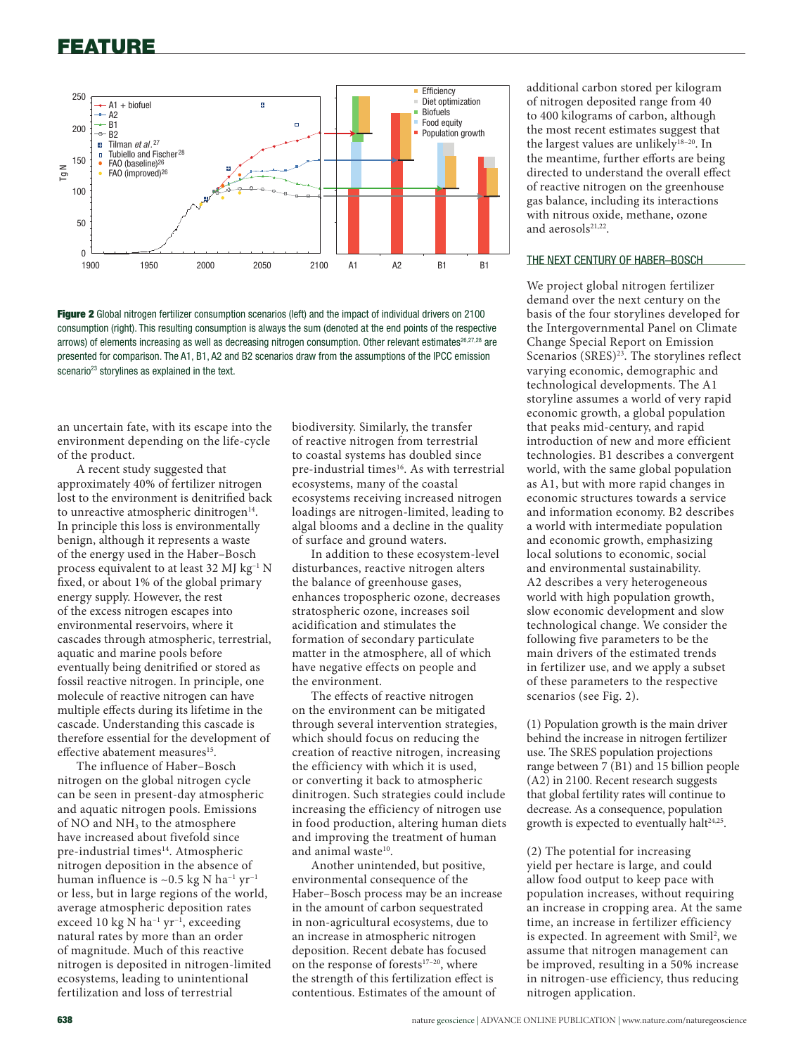# FEATURE



Figure 2 Global nitrogen fertilizer consumption scenarios (left) and the impact of individual drivers on 2100 consumption (right). This resulting consumption is always the sum (denoted at the end points of the respective arrows) of elements increasing as well as decreasing nitrogen consumption. Other relevant estimates<sup>26,27,28</sup> are presented for comparison. The A1, B1, A2 and B2 scenarios draw from the assumptions of the IPCC emission scenario<sup>23</sup> storylines as explained in the text.

an uncertain fate, with its escape into the environment depending on the life-cycle of the product.

A recent study suggested that approximately 40% of fertilizer nitrogen lost to the environment is denitrified back to unreactive atmospheric dinitrogen<sup>14</sup>. In principle this loss is environmentally benign, although it represents a waste of the energy used in the Haber–Bosch process equivalent to at least 32 MJ kg–1 N fixed, or about 1% of the global primary energy supply. However, the rest of the excess nitrogen escapes into environmental reservoirs, where it cascades through atmospheric, terrestrial, aquatic and marine pools before eventually being denitrified or stored as fossil reactive nitrogen. In principle, one molecule of reactive nitrogen can have multiple effects during its lifetime in the cascade. Understanding this cascade is therefore essential for the development of effective abatement measures<sup>15</sup>.

The influence of Haber–Bosch nitrogen on the global nitrogen cycle can be seen in present-day atmospheric and aquatic nitrogen pools. Emissions of NO and NH<sub>3</sub> to the atmosphere have increased about fivefold since pre-industrial times<sup>14</sup>. Atmospheric nitrogen deposition in the absence of human influence is ~0.5 kg N ha<sup>-1</sup> yr<sup>-1</sup> or less, but in large regions of the world, average atmospheric deposition rates exceed 10 kg N ha<sup>-1</sup> yr<sup>-1</sup>, exceeding natural rates by more than an order of magnitude. Much of this reactive nitrogen is deposited in nitrogen-limited ecosystems, leading to unintentional fertilization and loss of terrestrial

biodiversity. Similarly, the transfer of reactive nitrogen from terrestrial to coastal systems has doubled since pre-industrial times<sup>16</sup>. As with terrestrial ecosystems, many of the coastal ecosystems receiving increased nitrogen loadings are nitrogen-limited, leading to algal blooms and a decline in the quality of surface and ground waters.

In addition to these ecosystem-level disturbances, reactive nitrogen alters the balance of greenhouse gases, enhances tropospheric ozone, decreases stratospheric ozone, increases soil acidification and stimulates the formation of secondary particulate matter in the atmosphere, all of which have negative effects on people and the environment.

The effects of reactive nitrogen on the environment can be mitigated through several intervention strategies, which should focus on reducing the creation of reactive nitrogen, increasing the efficiency with which it is used, or converting it back to atmospheric dinitrogen. Such strategies could include increasing the efficiency of nitrogen use in food production, altering human diets and improving the treatment of human and animal waste<sup>10</sup>.

Another unintended, but positive, environmental consequence of the Haber–Bosch process may be an increase in the amount of carbon sequestrated in non-agricultural ecosystems, due to an increase in atmospheric nitrogen deposition. Recent debate has focused on the response of forests<sup>17-20</sup>, where the strength of this fertilization effect is contentious. Estimates of the amount of

additional carbon stored per kilogram of nitrogen deposited range from 40 to 400 kilograms of carbon, although the most recent estimates suggest that the largest values are unlikely<sup>18-20</sup>. In the meantime, further efforts are being directed to understand the overall effect of reactive nitrogen on the greenhouse gas balance, including its interactions with nitrous oxide, methane, ozone and aerosols<sup>21,22</sup>.

## The next century of Haber–Bosch

We project global nitrogen fertilizer demand over the next century on the basis of the four storylines developed for the Intergovernmental Panel on Climate Change Special Report on Emission Scenarios (SRES)<sup>23</sup>. The storylines reflect varying economic, demographic and technological developments. The A1 storyline assumes a world of very rapid economic growth, a global population that peaks mid-century, and rapid introduction of new and more efficient technologies. B1 describes a convergent world, with the same global population as A1, but with more rapid changes in economic structures towards a service and information economy. B2 describes a world with intermediate population and economic growth, emphasizing local solutions to economic, social and environmental sustainability. A2 describes a very heterogeneous world with high population growth, slow economic development and slow technological change. We consider the following five parameters to be the main drivers of the estimated trends in fertilizer use, and we apply a subset of these parameters to the respective scenarios (see Fig. 2).

(1) Population growth is the main driver behind the increase in nitrogen fertilizer use. The SRES population projections range between 7 (B1) and 15 billion people (A2) in 2100. Recent research suggests that global fertility rates will continue to decrease. As a consequence, population growth is expected to eventually halt<sup>24,25</sup>.

(2) The potential for increasing yield per hectare is large, and could allow food output to keep pace with population increases, without requiring an increase in cropping area. At the same time, an increase in fertilizer efficiency is expected. In agreement with Smil<sup>2</sup>, we assume that nitrogen management can be improved, resulting in a 50% increase in nitrogen-use efficiency, thus reducing nitrogen application.